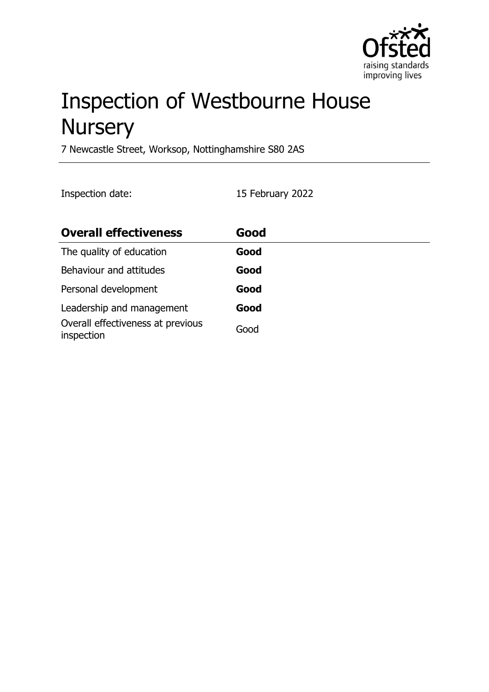

# Inspection of Westbourne House **Nursery**

7 Newcastle Street, Worksop, Nottinghamshire S80 2AS

Inspection date: 15 February 2022

| <b>Overall effectiveness</b>                    | Good |
|-------------------------------------------------|------|
| The quality of education                        | Good |
| Behaviour and attitudes                         | Good |
| Personal development                            | Good |
| Leadership and management                       | Good |
| Overall effectiveness at previous<br>inspection | Good |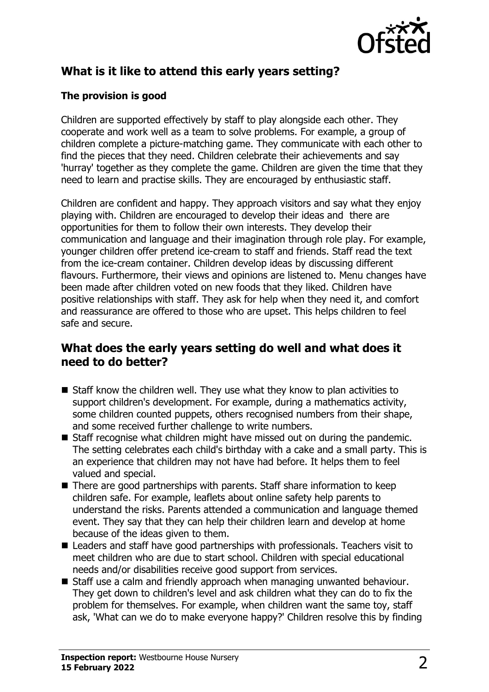

# **What is it like to attend this early years setting?**

#### **The provision is good**

Children are supported effectively by staff to play alongside each other. They cooperate and work well as a team to solve problems. For example, a group of children complete a picture-matching game. They communicate with each other to find the pieces that they need. Children celebrate their achievements and say 'hurray' together as they complete the game. Children are given the time that they need to learn and practise skills. They are encouraged by enthusiastic staff.

Children are confident and happy. They approach visitors and say what they enjoy playing with. Children are encouraged to develop their ideas and there are opportunities for them to follow their own interests. They develop their communication and language and their imagination through role play. For example, younger children offer pretend ice-cream to staff and friends. Staff read the text from the ice-cream container. Children develop ideas by discussing different flavours. Furthermore, their views and opinions are listened to. Menu changes have been made after children voted on new foods that they liked. Children have positive relationships with staff. They ask for help when they need it, and comfort and reassurance are offered to those who are upset. This helps children to feel safe and secure.

### **What does the early years setting do well and what does it need to do better?**

- $\blacksquare$  Staff know the children well. They use what they know to plan activities to support children's development. For example, during a mathematics activity, some children counted puppets, others recognised numbers from their shape, and some received further challenge to write numbers.
- $\blacksquare$  Staff recognise what children might have missed out on during the pandemic. The setting celebrates each child's birthday with a cake and a small party. This is an experience that children may not have had before. It helps them to feel valued and special.
- $\blacksquare$  There are good partnerships with parents. Staff share information to keep children safe. For example, leaflets about online safety help parents to understand the risks. Parents attended a communication and language themed event. They say that they can help their children learn and develop at home because of the ideas given to them.
- Leaders and staff have good partnerships with professionals. Teachers visit to meet children who are due to start school. Children with special educational needs and/or disabilities receive good support from services.
- Staff use a calm and friendly approach when managing unwanted behaviour. They get down to children's level and ask children what they can do to fix the problem for themselves. For example, when children want the same toy, staff ask, 'What can we do to make everyone happy?' Children resolve this by finding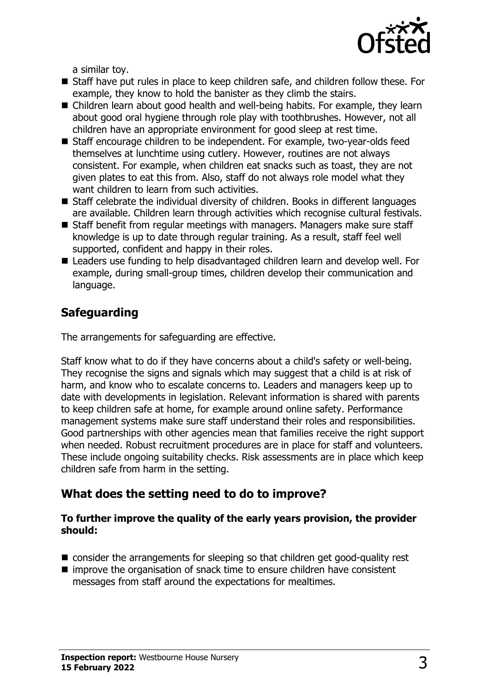

a similar toy.

- Staff have put rules in place to keep children safe, and children follow these. For example, they know to hold the banister as they climb the stairs.
- Children learn about good health and well-being habits. For example, they learn about good oral hygiene through role play with toothbrushes. However, not all children have an appropriate environment for good sleep at rest time.
- Staff encourage children to be independent. For example, two-year-olds feed themselves at lunchtime using cutlery. However, routines are not always consistent. For example, when children eat snacks such as toast, they are not given plates to eat this from. Also, staff do not always role model what they want children to learn from such activities.
- $\blacksquare$  Staff celebrate the individual diversity of children. Books in different languages are available. Children learn through activities which recognise cultural festivals.
- $\blacksquare$  Staff benefit from regular meetings with managers. Managers make sure staff knowledge is up to date through regular training. As a result, staff feel well supported, confident and happy in their roles.
- Leaders use funding to help disadvantaged children learn and develop well. For example, during small-group times, children develop their communication and language.

# **Safeguarding**

The arrangements for safeguarding are effective.

Staff know what to do if they have concerns about a child's safety or well-being. They recognise the signs and signals which may suggest that a child is at risk of harm, and know who to escalate concerns to. Leaders and managers keep up to date with developments in legislation. Relevant information is shared with parents to keep children safe at home, for example around online safety. Performance management systems make sure staff understand their roles and responsibilities. Good partnerships with other agencies mean that families receive the right support when needed. Robust recruitment procedures are in place for staff and volunteers. These include ongoing suitability checks. Risk assessments are in place which keep children safe from harm in the setting.

# **What does the setting need to do to improve?**

#### **To further improve the quality of the early years provision, the provider should:**

- $\blacksquare$  consider the arrangements for sleeping so that children get good-quality rest
- improve the organisation of snack time to ensure children have consistent messages from staff around the expectations for mealtimes.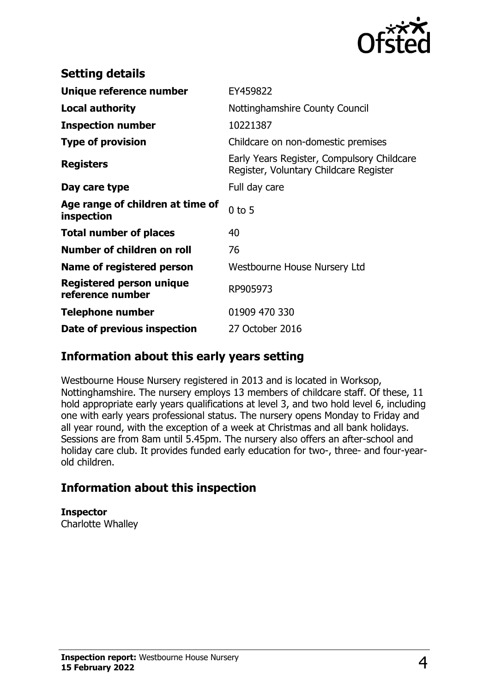

| <b>Setting details</b>                              |                                                                                      |
|-----------------------------------------------------|--------------------------------------------------------------------------------------|
| Unique reference number                             | EY459822                                                                             |
| Local authority                                     | Nottinghamshire County Council                                                       |
| <b>Inspection number</b>                            | 10221387                                                                             |
| <b>Type of provision</b>                            | Childcare on non-domestic premises                                                   |
| <b>Registers</b>                                    | Early Years Register, Compulsory Childcare<br>Register, Voluntary Childcare Register |
| Day care type                                       | Full day care                                                                        |
| Age range of children at time of<br>inspection      | $0$ to 5                                                                             |
| <b>Total number of places</b>                       | 40                                                                                   |
| Number of children on roll                          | 76                                                                                   |
| Name of registered person                           | Westbourne House Nursery Ltd                                                         |
| <b>Registered person unique</b><br>reference number | RP905973                                                                             |
| <b>Telephone number</b>                             | 01909 470 330                                                                        |
| Date of previous inspection                         | 27 October 2016                                                                      |

## **Information about this early years setting**

Westbourne House Nursery registered in 2013 and is located in Worksop, Nottinghamshire. The nursery employs 13 members of childcare staff. Of these, 11 hold appropriate early years qualifications at level 3, and two hold level 6, including one with early years professional status. The nursery opens Monday to Friday and all year round, with the exception of a week at Christmas and all bank holidays. Sessions are from 8am until 5.45pm. The nursery also offers an after-school and holiday care club. It provides funded early education for two-, three- and four-yearold children.

## **Information about this inspection**

**Inspector** Charlotte Whalley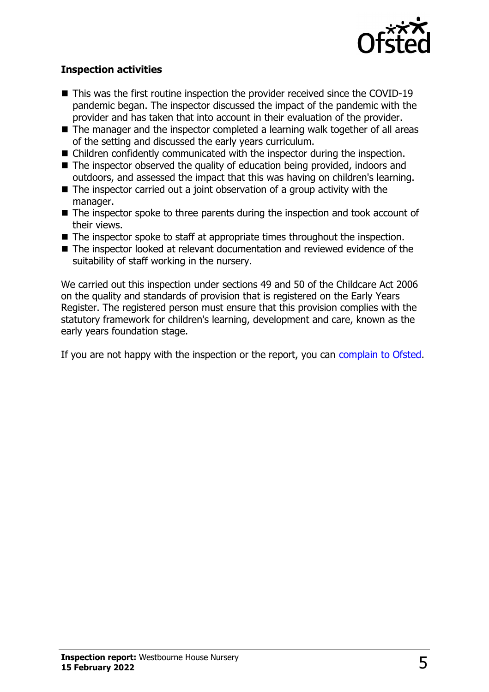

#### **Inspection activities**

- $\blacksquare$  This was the first routine inspection the provider received since the COVID-19 pandemic began. The inspector discussed the impact of the pandemic with the provider and has taken that into account in their evaluation of the provider.
- $\blacksquare$  The manager and the inspector completed a learning walk together of all areas of the setting and discussed the early years curriculum.
- $\blacksquare$  Children confidently communicated with the inspector during the inspection.
- $\blacksquare$  The inspector observed the quality of education being provided, indoors and outdoors, and assessed the impact that this was having on children's learning.
- $\blacksquare$  The inspector carried out a joint observation of a group activity with the manager.
- $\blacksquare$  The inspector spoke to three parents during the inspection and took account of their views.
- $\blacksquare$  The inspector spoke to staff at appropriate times throughout the inspection.
- The inspector looked at relevant documentation and reviewed evidence of the suitability of staff working in the nursery.

We carried out this inspection under sections 49 and 50 of the Childcare Act 2006 on the quality and standards of provision that is registered on the Early Years Register. The registered person must ensure that this provision complies with the statutory framework for children's learning, development and care, known as the early years foundation stage.

If you are not happy with the inspection or the report, you can [complain to Ofsted](http://www.gov.uk/complain-ofsted-report).